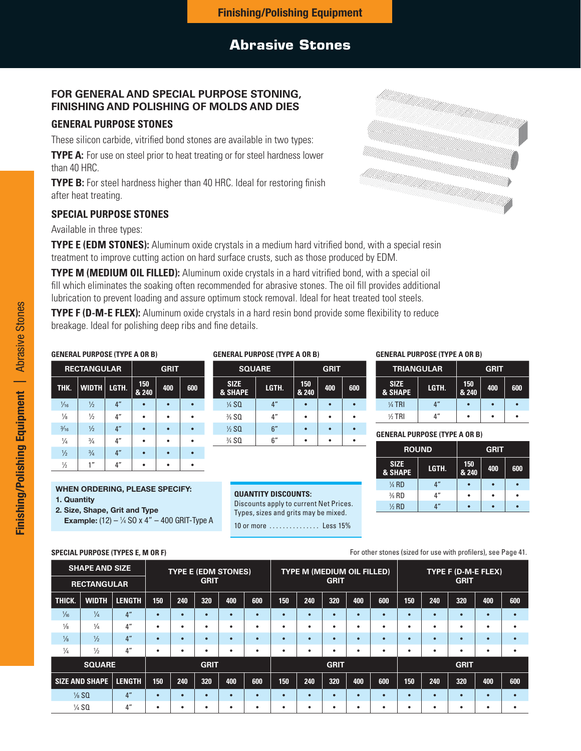#### **Finishing/Polishing Equipment**

## **Abrasive Stones**

## **FOR GENERAL AND SPECIAL PURPOSE STONING, FINISHING AND POLISHING OF MOLDS AND DIES**

## **GENERAL PURPOSE STONES**

These silicon carbide, vitrified bond stones are available in two types:

**TYPE A:** For use on steel prior to heat treating or for steel hardness lower than 40 HRC.

**TYPE B:** For steel hardness higher than 40 HRC. Ideal for restoring finish after heat treating.

## **SPECIAL PURPOSE STONES**

Available in three types:

**TYPE E (EDM STONES):** Aluminum oxide crystals in a medium hard vitrified bond, with a special resin treatment to improve cutting action on hard surface crusts, such as those produced by EDM.

**TYPE M (MEDIUM OIL FILLED):** Aluminum oxide crystals in a hard vitrified bond, with a special oil fill which eliminates the soaking often recommended for abrasive stones. The oil fill provides additional lubrication to prevent loading and assure optimum stock removal. Ideal for heat treated tool steels.

**TYPE F (D-M-E FLEX):** Aluminum oxide crystals in a hard resin bond provide some flexibility to reduce breakage. Ideal for polishing deep ribs and fine details.

#### **GENERAL PURPOSE (TYPE A OR B)**

|                | <b>RECTANGULAR</b> |                 | <b>GRIT</b>  |     |     |  |  |  |
|----------------|--------------------|-----------------|--------------|-----|-----|--|--|--|
| THK.           | <b>WIDTH</b>       | LGTH.           | 150<br>& 240 | 400 | 600 |  |  |  |
| $\frac{1}{16}$ | $\frac{1}{2}$      | 4 <sup>''</sup> |              |     |     |  |  |  |
| $\frac{1}{8}$  | $\frac{1}{2}$      | 4 <sup>''</sup> |              |     |     |  |  |  |
| $\frac{3}{16}$ | $\frac{1}{2}$      | 4 <sup>''</sup> |              |     |     |  |  |  |
| $\frac{1}{4}$  | $\frac{3}{4}$      | 4 <sup>''</sup> |              |     |     |  |  |  |
| $\frac{1}{2}$  | $\frac{3}{4}$      | 4 <sup>''</sup> |              |     |     |  |  |  |
| $\frac{1}{2}$  | 1 <sup>''</sup>    | 4 <sup>''</sup> |              |     |     |  |  |  |

#### **WHEN ORDERING, PLEASE SPECIFY:**

- **1. Quantity**
- **2. Size, Shape, Grit and Type**

**Example:**  $(12) - \frac{1}{4}$  SO x 4"  $-$  400 GRIT-Type A

### **GENERAL PURPOSE (TYPE A OR B)**

|                                   | <b>SQUARE</b>   | <b>GRIT</b>  |     |     |  |  |  |
|-----------------------------------|-----------------|--------------|-----|-----|--|--|--|
| <b>SIZE</b><br><b>&amp; SHAPE</b> | LGTH.           | 150<br>& 240 | 400 | 600 |  |  |  |
| $\frac{1}{4}$ SQ                  | 4 <sup>''</sup> |              |     |     |  |  |  |
| $\frac{3}{8}$ SQ                  | 4"              |              |     |     |  |  |  |
| $\frac{1}{2}$ SQ                  | 6''             |              |     |     |  |  |  |
| 3/4 SQ                            | ჩ"              |              |     |     |  |  |  |

#### **QUANTITY DISCOUNTS:**

Discounts apply to current Net Prices. Types, sizes and grits may be mixed. 10 or more ............... Less 15%

#### **GENERAL PURPOSE (TYPE A OR B)**

| <b>TRIANGULAR</b>      |                             | <b>GRIT</b>  |     |     |  |  |  |
|------------------------|-----------------------------|--------------|-----|-----|--|--|--|
| <b>SIZE</b><br>& SHAPE | LGTH.                       | 150<br>& 240 | 400 | 600 |  |  |  |
| $\frac{1}{4}$ TRI      | $\mathbf{A}^{\prime\prime}$ |              |     |     |  |  |  |
| $%$ TRI                |                             |              |     |     |  |  |  |

⁄4 SQ 6" • • • **GENERAL PURPOSE (TYPE A OR B)** 

| <b>ROUND</b>           |                 | <b>GRIT</b>  |     |     |  |  |  |
|------------------------|-----------------|--------------|-----|-----|--|--|--|
| <b>SIZE</b><br>& SHAPE | LGTH.           | 150<br>& 240 | 400 | 600 |  |  |  |
| $\frac{1}{4}$ RD       | 4 <sup>''</sup> |              |     |     |  |  |  |
| $\frac{3}{8}$ RD       | 4 <sup>''</sup> |              |     |     |  |  |  |
| $\frac{1}{2}$ RD       | 4″              |              |     |     |  |  |  |

#### **SPECIAL PURPOSE (TYPES E, M OR F)**  $\blacksquare$  For other stones (sized for use with profilers), see Page 41.

|                | <b>SHAPE AND SIZE</b><br><b>RECTANGULAR</b> |                    |                            |     | <b>GRIT</b> | <b>TYPE E (EDM STONES)</b> |           |     | <b>TYPE M (MEDIUM OIL FILLED)</b> | <b>GRIT</b> |           |           |           |           | TYPE F (D-M-E FLEX)<br><b>GRIT</b> |           |     |
|----------------|---------------------------------------------|--------------------|----------------------------|-----|-------------|----------------------------|-----------|-----|-----------------------------------|-------------|-----------|-----------|-----------|-----------|------------------------------------|-----------|-----|
| THICK.         | <b>WIDTH</b>                                | LENGTH             | 150                        | 240 | 320         | 400                        | 600       | 150 | 240                               | 320         | 400       | 600       | 150       | 240       | 320                                | 400       | 600 |
| $\frac{1}{16}$ | $\frac{1}{4}$                               | 4 <sup>''</sup>    |                            |     | $\bullet$   | $\bullet$                  | $\bullet$ | ٠   |                                   | $\bullet$   | ٠         | $\bullet$ | $\bullet$ |           | $\bullet$                          | ٠         |     |
| $\frac{1}{8}$  | $\frac{1}{4}$                               | $4^{\prime\prime}$ |                            |     | $\bullet$   | $\bullet$                  | ٠         | ٠   | $\bullet$                         | ٠           | ٠         | ٠         | $\bullet$ | $\bullet$ | ٠                                  | ٠         |     |
| $\frac{1}{8}$  | $\frac{1}{2}$                               | 4 <sup>''</sup>    |                            |     | $\bullet$   | $\bullet$                  | $\bullet$ | ٠   |                                   | $\bullet$   | $\bullet$ | $\bullet$ | $\bullet$ |           | $\bullet$                          | $\bullet$ |     |
| $\frac{1}{4}$  | $\frac{1}{2}$                               | $4^{\prime\prime}$ |                            |     | ٠           | $\bullet$                  | ٠         | ٠   | $\bullet$                         | ٠           | ٠         | ٠         | $\bullet$ | ٠         | ٠                                  | ٠         |     |
|                | <b>SQUARE</b>                               |                    | <b>GRIT</b><br><b>GRIT</b> |     |             |                            |           |     |                                   | <b>GRIT</b> |           |           |           |           |                                    |           |     |
|                | SIZE AND SHAPE   LENGTH                     |                    | 150                        | 240 | 320         | 400                        | 600       | 150 | 240                               | 320         | 400       | 600       | 150       | 240       | 320                                | 400       | 600 |
|                | $\frac{1}{8}$ SQ                            | 4 <sup>''</sup>    |                            |     | $\bullet$   | $\bullet$                  | $\bullet$ | ٠   | <b>T</b>                          | $\bullet$   | $\bullet$ |           |           |           | $\bullet$                          | ٠         |     |
|                | $\frac{1}{4}$ SQ                            | 4 <sup>''</sup>    | ٠                          |     | ٠           | $\bullet$                  | ٠         | ٠   | $\bullet$                         | ٠           | ٠         | ٠         | ٠         | $\bullet$ | ٠                                  | ٠         |     |

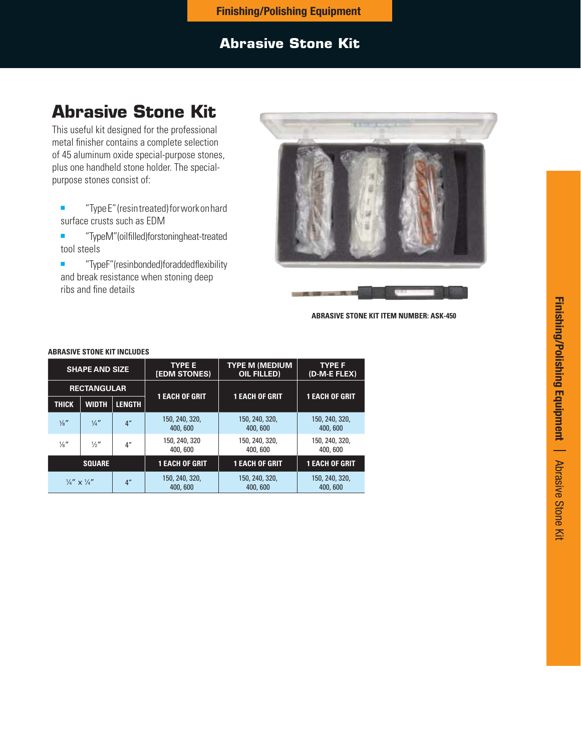## **Finishing/Polishing Equipment**

## **Abrasive Stone Kit**

# **Abrasive Stone Kit**

This useful kit designed for the professional metal finisher contains a complete selection of 45 aluminum oxide special-purpose stones, plus one handheld stone holder. The specialpurpose stones consist of:

- "Type E" (resin treated) for work on hard surface crusts such as EDM
- "TypeM" (oilfilled) for stoning heat-treated tool steels
- "TypeF" (resinbonded) for added flexibility and break resistance when stoning deep ribs and fine details



**ABRASIVE STONE KIT ITEM NUMBER: ASK-450**

| <b>SHAPE AND SIZE</b>                                |                               |                           | <b>TYPE E</b><br><b>[EDM STONES)</b>                   | <b>TYPE M (MEDIUM</b><br><b>OIL FILLED)</b> | <b>TYPE F</b><br>(D-M-E FLEX) |  |
|------------------------------------------------------|-------------------------------|---------------------------|--------------------------------------------------------|---------------------------------------------|-------------------------------|--|
| <b>RECTANGULAR</b>                                   |                               | <b>1 EACH OF GRIT</b>     | <b>1 EACH OF GRIT</b>                                  |                                             |                               |  |
| <b>THICK</b>                                         | <b>LENGTH</b><br><b>WIDTH</b> |                           |                                                        |                                             | <b>1 EACH OF GRIT</b>         |  |
| $\frac{1}{8}$ "                                      | $\frac{1}{4}$                 | 4 <sup>''</sup>           | 150, 240, 320,<br>150, 240, 320,<br>400,600<br>400,600 |                                             | 150, 240, 320,<br>400,600     |  |
| $\frac{1}{8}$ "                                      | $\frac{1}{2}$ "               | 4"                        | 150, 240, 320<br>400,600                               | 150, 240, 320,<br>400,600                   | 150, 240, 320,<br>400, 600    |  |
|                                                      | <b>SQUARE</b>                 |                           | <b>1 EACH OF GRIT</b>                                  | <b>1 EACH OF GRIT</b>                       | <b>1 EACH OF GRIT</b>         |  |
| 4 <sup>''</sup><br>$\frac{1}{4}''$ x $\frac{1}{4}''$ |                               | 150, 240, 320,<br>400,600 | 150, 240, 320,<br>400,600                              | 150, 240, 320,<br>400,600                   |                               |  |

#### **ABRASIVE STONE KIT INCLUDES**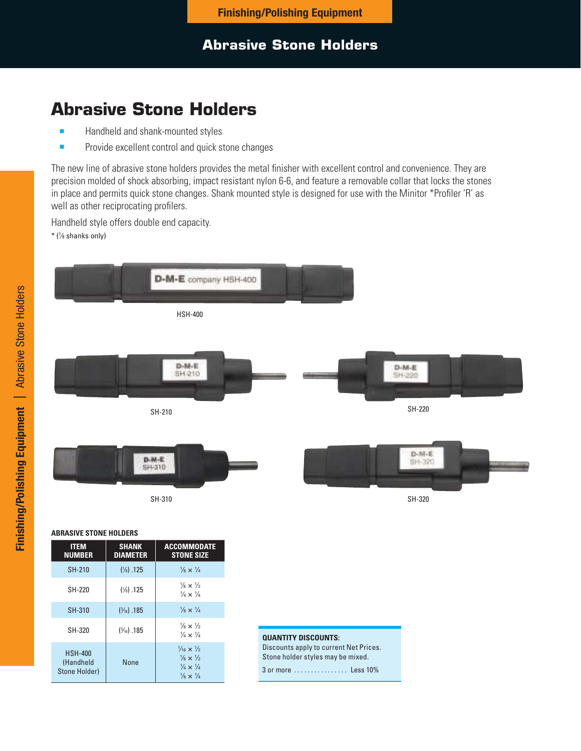# **Abrasive Stone Holders**

- Handheld and shank-mounted styles
- Provide excellent control and quick stone changes

The new line of abrasive stone holders provides the metal finisher with excellent control and convenience. They are precision molded of shock absorbing, impact resistant nylon 6-6, and feature a removable collar that locks the stones in place and permits quick stone changes. Shank mounted style is designed for use with the Minitor \*Profiler 'R' as well as other reciprocating profilers.

Handheld style offers double end capacity. \* (1 ⁄8 shanks only)